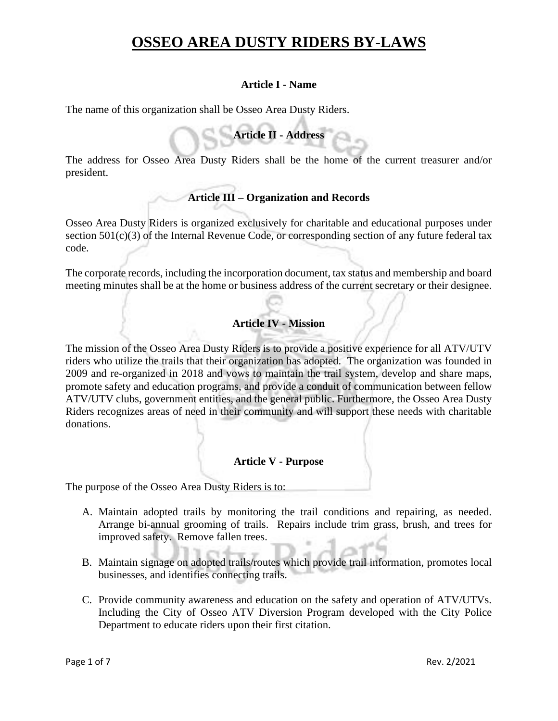### **Article I - Name**

The name of this organization shall be Osseo Area Dusty Riders.

**Article II - Address**

The address for Osseo Area Dusty Riders shall be the home of the current treasurer and/or president.

## **Article III – Organization and Records**

Osseo Area Dusty Riders is organized exclusively for charitable and educational purposes under section 501(c)(3) of the Internal Revenue Code, or corresponding section of any future federal tax code.

The corporate records, including the incorporation document, tax status and membership and board meeting minutes shall be at the home or business address of the current secretary or their designee.

### **Article IV - Mission**

The mission of the Osseo Area Dusty Riders is to provide a positive experience for all ATV/UTV riders who utilize the trails that their organization has adopted. The organization was founded in 2009 and re-organized in 2018 and vows to maintain the trail system, develop and share maps, promote safety and education programs, and provide a conduit of communication between fellow ATV/UTV clubs, government entities, and the general public. Furthermore, the Osseo Area Dusty Riders recognizes areas of need in their community and will support these needs with charitable donations.

### **Article V - Purpose**

The purpose of the Osseo Area Dusty Riders is to:

- A. Maintain adopted trails by monitoring the trail conditions and repairing, as needed. Arrange bi-annual grooming of trails. Repairs include trim grass, brush, and trees for improved safety. Remove fallen trees.
- B. Maintain signage on adopted trails/routes which provide trail information, promotes local businesses, and identifies connecting trails.
- C. Provide community awareness and education on the safety and operation of ATV/UTVs. Including the City of Osseo ATV Diversion Program developed with the City Police Department to educate riders upon their first citation.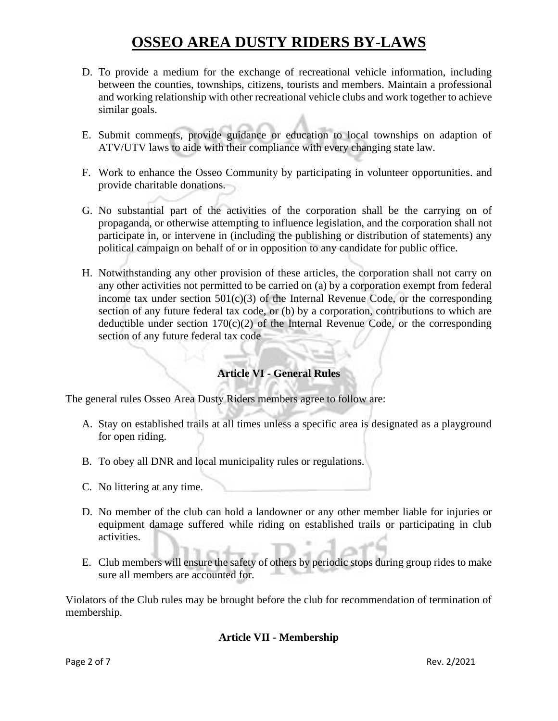- D. To provide a medium for the exchange of recreational vehicle information, including between the counties, townships, citizens, tourists and members. Maintain a professional and working relationship with other recreational vehicle clubs and work together to achieve similar goals.
- E. Submit comments, provide guidance or education to local townships on adaption of ATV/UTV laws to aide with their compliance with every changing state law.
- F. Work to enhance the Osseo Community by participating in volunteer opportunities. and provide charitable donations.
- G. No substantial part of the activities of the corporation shall be the carrying on of propaganda, or otherwise attempting to influence legislation, and the corporation shall not participate in, or intervene in (including the publishing or distribution of statements) any political campaign on behalf of or in opposition to any candidate for public office.
- H. Notwithstanding any other provision of these articles, the corporation shall not carry on any other activities not permitted to be carried on (a) by a corporation exempt from federal income tax under section  $501(c)(3)$  of the Internal Revenue Code, or the corresponding section of any future federal tax code, or (b) by a corporation, contributions to which are deductible under section  $170(c)(2)$  of the Internal Revenue Code, or the corresponding section of any future federal tax code

## **Article VI - General Rules**

The general rules Osseo Area Dusty Riders members agree to follow are:

- A. Stay on established trails at all times unless a specific area is designated as a playground for open riding.
- B. To obey all DNR and local municipality rules or regulations.
- C. No littering at any time.
- D. No member of the club can hold a landowner or any other member liable for injuries or equipment damage suffered while riding on established trails or participating in club activities.
- E. Club members will ensure the safety of others by periodic stops during group rides to make sure all members are accounted for.

Violators of the Club rules may be brought before the club for recommendation of termination of membership.

#### **Article VII - Membership**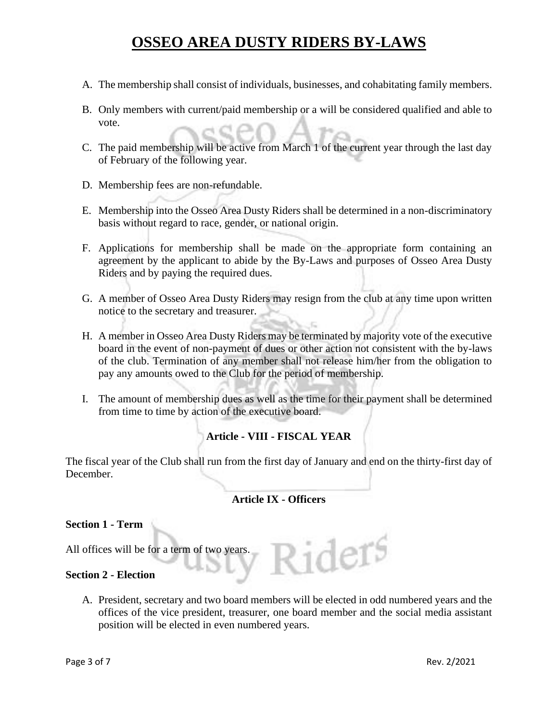- A. The membership shall consist of individuals, businesses, and cohabitating family members.
- B. Only members with current/paid membership or a will be considered qualified and able to vote.
- C. The paid membership will be active from March 1 of the current year through the last day of February of the following year.
- D. Membership fees are non-refundable.
- E. Membership into the Osseo Area Dusty Riders shall be determined in a non-discriminatory basis without regard to race, gender, or national origin.
- F. Applications for membership shall be made on the appropriate form containing an agreement by the applicant to abide by the By-Laws and purposes of Osseo Area Dusty Riders and by paying the required dues.
- G. A member of Osseo Area Dusty Riders may resign from the club at any time upon written notice to the secretary and treasurer.
- H. A member in Osseo Area Dusty Riders may be terminated by majority vote of the executive board in the event of non-payment of dues or other action not consistent with the by-laws of the club. Termination of any member shall not release him/her from the obligation to pay any amounts owed to the Club for the period of membership.
- I. The amount of membership dues as well as the time for their payment shall be determined from time to time by action of the executive board.

## **Article - VIII - FISCAL YEAR**

The fiscal year of the Club shall run from the first day of January and end on the thirty-first day of December.

#### **Article IX - Officers**

#### **Section 1 - Term**

All offices will be for a term of two years.

#### **Section 2 - Election**

A. President, secretary and two board members will be elected in odd numbered years and the offices of the vice president, treasurer, one board member and the social media assistant position will be elected in even numbered years.

Riders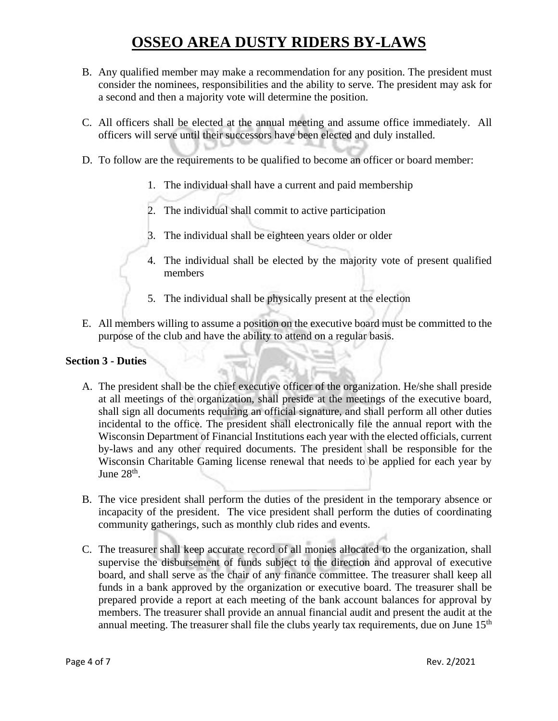- B. Any qualified member may make a recommendation for any position. The president must consider the nominees, responsibilities and the ability to serve. The president may ask for a second and then a majority vote will determine the position.
- C. All officers shall be elected at the annual meeting and assume office immediately. All officers will serve until their successors have been elected and duly installed.
- D. To follow are the requirements to be qualified to become an officer or board member:
	- 1. The individual shall have a current and paid membership
	- 2. The individual shall commit to active participation
	- 3. The individual shall be eighteen years older or older
	- 4. The individual shall be elected by the majority vote of present qualified members
	- 5. The individual shall be physically present at the election
- E. All members willing to assume a position on the executive board must be committed to the purpose of the club and have the ability to attend on a regular basis.

#### **Section 3 - Duties**

- A. The president shall be the chief executive officer of the organization. He/she shall preside at all meetings of the organization, shall preside at the meetings of the executive board, shall sign all documents requiring an official signature, and shall perform all other duties incidental to the office. The president shall electronically file the annual report with the Wisconsin Department of Financial Institutions each year with the elected officials, current by-laws and any other required documents. The president shall be responsible for the Wisconsin Charitable Gaming license renewal that needs to be applied for each year by June  $28<sup>th</sup>$ .
- B. The vice president shall perform the duties of the president in the temporary absence or incapacity of the president. The vice president shall perform the duties of coordinating community gatherings, such as monthly club rides and events.
- C. The treasurer shall keep accurate record of all monies allocated to the organization, shall supervise the disbursement of funds subject to the direction and approval of executive board, and shall serve as the chair of any finance committee. The treasurer shall keep all funds in a bank approved by the organization or executive board. The treasurer shall be prepared provide a report at each meeting of the bank account balances for approval by members. The treasurer shall provide an annual financial audit and present the audit at the annual meeting. The treasurer shall file the clubs yearly tax requirements, due on June  $15<sup>th</sup>$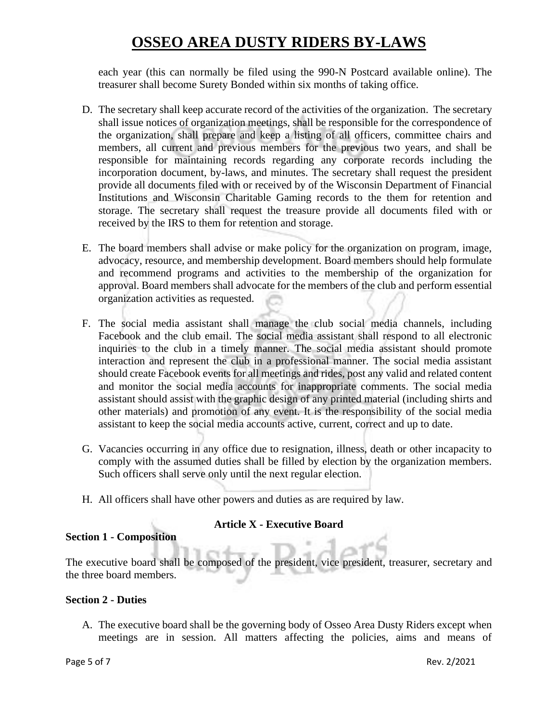each year (this can normally be filed using the 990-N Postcard available online). The treasurer shall become Surety Bonded within six months of taking office.

- D. The secretary shall keep accurate record of the activities of the organization. The secretary shall issue notices of organization meetings, shall be responsible for the correspondence of the organization, shall prepare and keep a listing of all officers, committee chairs and members, all current and previous members for the previous two years, and shall be responsible for maintaining records regarding any corporate records including the incorporation document, by-laws, and minutes. The secretary shall request the president provide all documents filed with or received by of the Wisconsin Department of Financial Institutions and Wisconsin Charitable Gaming records to the them for retention and storage. The secretary shall request the treasure provide all documents filed with or received by the IRS to them for retention and storage.
- E. The board members shall advise or make policy for the organization on program, image, advocacy, resource, and membership development. Board members should help formulate and recommend programs and activities to the membership of the organization for approval. Board members shall advocate for the members of the club and perform essential organization activities as requested.
- F. The social media assistant shall manage the club social media channels, including Facebook and the club email. The social media assistant shall respond to all electronic inquiries to the club in a timely manner. The social media assistant should promote interaction and represent the club in a professional manner. The social media assistant should create Facebook events for all meetings and rides, post any valid and related content and monitor the social media accounts for inappropriate comments. The social media assistant should assist with the graphic design of any printed material (including shirts and other materials) and promotion of any event. It is the responsibility of the social media assistant to keep the social media accounts active, current, correct and up to date.
- G. Vacancies occurring in any office due to resignation, illness, death or other incapacity to comply with the assumed duties shall be filled by election by the organization members. Such officers shall serve only until the next regular election.
- H. All officers shall have other powers and duties as are required by law.

### **Article X - Executive Board**

#### **Section 1 - Composition**

The executive board shall be composed of the president, vice president, treasurer, secretary and the three board members.

#### **Section 2 - Duties**

A. The executive board shall be the governing body of Osseo Area Dusty Riders except when meetings are in session. All matters affecting the policies, aims and means of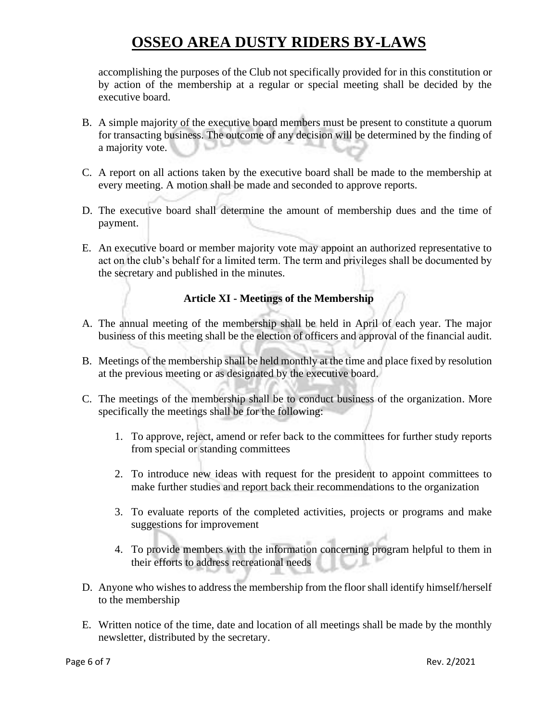accomplishing the purposes of the Club not specifically provided for in this constitution or by action of the membership at a regular or special meeting shall be decided by the executive board.

- B. A simple majority of the executive board members must be present to constitute a quorum for transacting business. The outcome of any decision will be determined by the finding of a majority vote.
- C. A report on all actions taken by the executive board shall be made to the membership at every meeting. A motion shall be made and seconded to approve reports.
- D. The executive board shall determine the amount of membership dues and the time of payment.
- E. An executive board or member majority vote may appoint an authorized representative to act on the club's behalf for a limited term. The term and privileges shall be documented by the secretary and published in the minutes.

## **Article XI - Meetings of the Membership**

- A. The annual meeting of the membership shall be held in April of each year. The major business of this meeting shall be the election of officers and approval of the financial audit.
- B. Meetings of the membership shall be held monthly at the time and place fixed by resolution at the previous meeting or as designated by the executive board.
- C. The meetings of the membership shall be to conduct business of the organization. More specifically the meetings shall be for the following:
	- 1. To approve, reject, amend or refer back to the committees for further study reports from special or standing committees
	- 2. To introduce new ideas with request for the president to appoint committees to make further studies and report back their recommendations to the organization
	- 3. To evaluate reports of the completed activities, projects or programs and make suggestions for improvement
	- 4. To provide members with the information concerning program helpful to them in their efforts to address recreational needs
- D. Anyone who wishes to address the membership from the floor shall identify himself/herself to the membership
- E. Written notice of the time, date and location of all meetings shall be made by the monthly newsletter, distributed by the secretary.